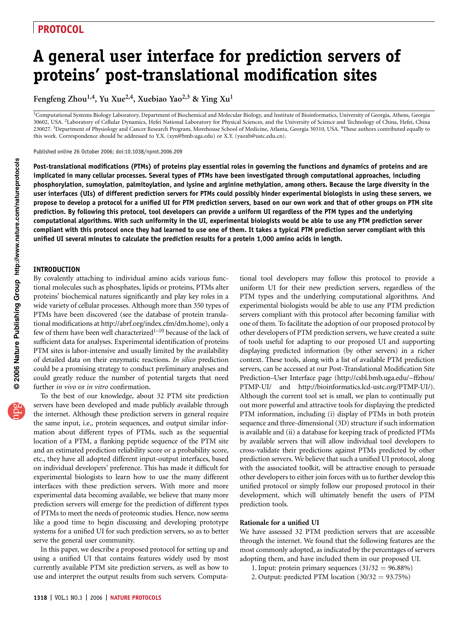# PROTOCOL

# A general user interface for prediction servers of proteins' post-translational modification sites

Fengfeng Zhou<sup>1,4</sup>, Yu Xue<sup>2,4</sup>, Xuebiao Yao<sup>2,3</sup> & Ying Xu<sup>1</sup>

<sup>1</sup>Computational Systems Biology Laboratory, Department of Biochemical and Molecular Biology, and Institute of Bioinformatics, University of Georgia, Athens, Georgia 30602, USA. 2Laboratory of Cellular Dynamics, Hefei National Laboratory for Physical Sciences, and the University of Science and Technology of China, Hefei, China 230027. <sup>3</sup>Department of Physiology and Cancer Research Program, Morehouse School of Medicine, Atlanta, Georgia 30310, USA. <sup>4</sup>These authors contributed equally to this work. Correspondence should be addressed to Y.X. (xyn@bmb.uga.edu) or X.Y. (yaoxb@ustc.edu.cn).

Published online 26 October 2006; doi:10.1038/nprot.2006.209

Post-translational modifications (PTMs) of proteins play essential roles in governing the functions and dynamics of proteins and are implicated in many cellular processes. Several types of PTMs have been investigated through computational approaches, including phosphorylation, sumoylation, palmitoylation, and lysine and arginine methylation, among others. Because the large diversity in the user interfaces (UIs) of different prediction servers for PTMs could possibly hinder experimental biologists in using these servers, we propose to develop a protocol for a unified UI for PTM prediction servers, based on our own work and that of other groups on PTM site prediction. By following this protocol, tool developers can provide a uniform UI regardless of the PTM types and the underlying computational algorithms. With such uniformity in the UI, experimental biologists would be able to use any PTM prediction server compliant with this protocol once they had learned to use one of them. It takes a typical PTM prediction server compliant with this unified UI several minutes to calculate the prediction results for a protein 1,000 amino acids in length.

#### INTRODUCTION

By covalently attaching to individual amino acids various functional molecules such as phosphates, lipids or proteins, PTMs alter proteins' biochemical natures significantly and play key roles in a wide variety of cellular processes. Although more than 350 types of PTMs have been discovered (see the database of protein translational modifications at http://abrf.org/index.cfm/dm.home), only a few of them have been well characterized<sup>1-10</sup> because of the lack of sufficient data for analyses. Experimental identification of proteins PTM sites is labor-intensive and usually limited by the availability of detailed data on their enzymatic reactions. In silico prediction could be a promising strategy to conduct preliminary analyses and could greatly reduce the number of potential targets that need further in vivo or in vitro confirmation.

To the best of our knowledge, about 32 PTM site prediction servers have been developed and made publicly available through the internet. Although these prediction servers in general require the same input, i.e., protein sequences, and output similar information about different types of PTMs, such as the sequential location of a PTM, a flanking peptide sequence of the PTM site and an estimated prediction reliability score or a probability score, etc., they have all adopted different input-output interfaces, based on individual developers' preference. This has made it difficult for experimental biologists to learn how to use the many different interfaces with these prediction servers. With more and more experimental data becoming available, we believe that many more prediction servers will emerge for the prediction of different types of PTMs to meet the needs of proteomic studies. Hence, now seems like a good time to begin discussing and developing prototype systems for a unified UI for such prediction servers, so as to better serve the general user community.

In this paper, we describe a proposed protocol for setting up and using a unified UI that contains features widely used by most currently available PTM site prediction servers, as well as how to use and interpret the output results from such servers. Computational tool developers may follow this protocol to provide a uniform UI for their new prediction servers, regardless of the PTM types and the underlying computational algorithms. And experimental biologists would be able to use any PTM prediction servers compliant with this protocol after becoming familiar with one of them. To facilitate the adoption of our proposed protocol by other developers of PTM prediction servers, we have created a suite of tools useful for adapting to our proposed UI and supporting displaying predicted information (by other servers) in a richer context. These tools, along with a list of available PTM prediction servers, can be accessed at our Post-Translational Modification Site Prediction–User Interface page (http://csbl.bmb.uga.edu/~ffzhou/ PTMP-UI/ and http://bioinformatics.lcd-ustc.org/PTMP-UI/). Although the current tool set is small, we plan to continually put out more powerful and attractive tools for displaying the predicted PTM information, including (i) display of PTMs in both protein sequence and three-dimensional (3D) structure if such information is available and (ii) a database for keeping track of predicted PTMs by available servers that will allow individual tool developers to cross-validate their predictions against PTMs predicted by other prediction servers. We believe that such a unified UI protocol, along with the associated toolkit, will be attractive enough to persuade other developers to either join forces with us to further develop this unified protocol or simply follow our proposed protocol in their development, which will ultimately benefit the users of PTM prediction tools.

#### Rationale for a unified UI

We have assessed 32 PTM prediction servers that are accessible through the internet. We found that the following features are the most commonly adopted, as indicated by the percentages of servers adopting them, and have included them in our proposed UI.

- 1. Input: protein primary sequences  $(31/32 = 96.88\%)$
- 2. Output: predicted PTM location  $(30/32 = 93.75%)$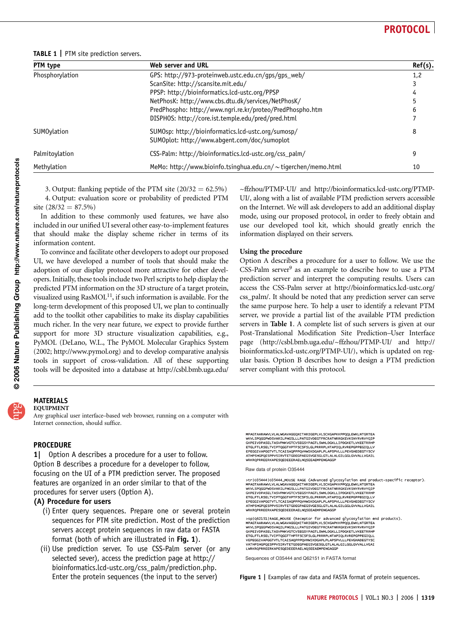# PROTOCOL

#### TABLE 1 | PTM site prediction servers.

| PTM type                | Web server and URL                                                                                 | $Ref(s)$ . |
|-------------------------|----------------------------------------------------------------------------------------------------|------------|
| Phosphorylation         | GPS: http://973-proteinweb.ustc.edu.cn/gps/gps_web/                                                | 1,2        |
|                         | ScanSite: http://scansite.mit.edu/                                                                 |            |
|                         | PPSP: http://bioinformatics.lcd-ustc.org/PPSP                                                      | 4          |
|                         | NetPhosK: http://www.cbs.dtu.dk/services/NetPhosK/                                                 |            |
|                         | PredPhospho: http://www.ngri.re.kr/proteo/PredPhospho.htm                                          | h          |
|                         | DISPHOS: http://core.ist.temple.edu/pred/pred.html                                                 |            |
| SUMO <sub>vlation</sub> | SUMOsp: http://bioinformatics.lcd-ustc.org/sumosp/<br>SUMOplot: http://www.abgent.com/doc/sumoplot | 8          |
| Palmitovlation          | CSS-Palm: http://bioinformatics.lcd-ustc.org/css_palm/                                             | g          |
| Methylation             | MeMo: http://www.bioinfo.tsinghua.edu.cn/ $\sim$ tigerchen/memo.html                               | 10         |

3. Output: flanking peptide of the PTM site  $(20/32 = 62.5\%)$ 4. Output: evaluation score or probability of predicted PTM

site  $(28/32 = 87.5\%)$ 

In addition to these commonly used features, we have also included in our unified UI several other easy-to-implement features that should make the display scheme richer in terms of its information content.

To convince and facilitate other developers to adopt our proposed UI, we have developed a number of tools that should make the adoption of our display protocol more attractive for other developers. Initially, these tools include two Perl scripts to help display the predicted PTM information on the 3D structure of a target protein, visualized using  $Ra s MOL<sup>11</sup>$ , if such information is available. For the long-term development of this proposed UI, we plan to continually add to the toolkit other capabilities to make its display capabilities much richer. In the very near future, we expect to provide further support for more 3D structure visualization capabilities, e.g., PyMOL (DeLano, W.L., The PyMOL Molecular Graphics System (2002; http://www.pymol.org) and to develop comparative analysis tools in support of cross-validation. All of these supporting tools will be deposited into a database at http://csbl.bmb.uga.edu/

~ffzhou/PTMP-UI/ and http://bioinformatics.lcd-ustc.org/PTMP-UI/, along with a list of available PTM prediction servers accessible on the Internet. We will ask developers to add an additional display mode, using our proposed protocol, in order to freely obtain and use our developed tool kit, which should greatly enrich the information displayed on their servers.

#### Using the procedure

Option A describes a procedure for a user to follow. We use the CSS-Palm server<sup>9</sup> as an example to describe how to use a PTM prediction server and interpret the computing results. Users can access the CSS-Palm server at http://bioinformatics.lcd-ustc.org/ css\_palm/. It should be noted that any prediction server can serve the same purpose here. To help a user to identify a relevant PTM server, we provide a partial list of the available PTM prediction servers in Table 1. A complete list of such servers is given at our Post-Translational Modification Site Prediction–User Interface page (http://csbl.bmb.uga.edu/~ffzhou/PTMP-UI/ and http:// bioinformatics.lcd-ustc.org/PTMP-UI/), which is updated on regular basis. Option B describes how to design a PTM prediction server compliant with this protocol.

## MATERIALS

EQUIPMENT

Any graphical user interface–based web browser, running on a computer with Internet connection, should suffice.

#### PROCEDURE

1| Option A describes a procedure for a user to follow. Option B describes a procedure for a developer to follow, focusing on the UI of a PTM prediction server. The proposed features are organized in an order similar to that of the procedures for server users (Option A).

#### (A) Procedure for users

- (i) Enter query sequences. Prepare one or several protein sequences for PTM site prediction. Most of the prediction servers accept protein sequences in raw data or FASTA format (both of which are illustrated in Fig. 1).
- (ii) Use prediction server. To use CSS-Palm server (or any selected sever), access the prediction page at http:// bioinformatics.lcd-ustc.org/css\_palm/prediction.php. Enter the protein sequences (the input to the server)

MPAGTAARAWVLVLALWGAVAGGQNITARIGEPLVLSCKGAPKKPPQQLEWKLNTGRTEA<br>WKVLSPQGGPWDSVARILPWSSLLLPATGIVDEGTFRCRATNRRGKEVKSNYRVRVQIP<br>GKPEIVOPASELTASVPNKVGTCVSEGSYPAGTLSWHLDGKLLIPDGKETLVKEETRRHP<br>ETGLFTLRSELTVIPTQGGTHPTFSCSFSLGLPRRRPLNT EPEGGIVAPGGTVTLTCAISAQPPPQVHWIKDGAPLPLAPSPVLLLPEVGHEDEGTYSCV ATHPSHGPQESPPVSIRVTETGDEGPAEGSVGESGLGTLALALGILGGLGVVALLVGAIL WRKROPRREERKAPESOEDEEERAELNOSEEAEMPENGAGGP

Raw data of protein O35444

>tr|035444|035444\_MOUSE RAGE (Advanced glycosylation end product-specific receptor).<br>MPAGTAARAWVLVLALWGAVAGGQNITARIGEPLVLSCKGAPKKPPQQLEWKLNTGRTEA WKVLSPQGGPWDSVARILPNGSLLLPATGIVDEGTFRCRATNRRGKEVKSNYRVRVYQIP GKPEIVDPASELTASVPNKVGTCVSEGSYPAGTLSWHLDGKLLIPDGKETLVKEETRRHF ETGLFTLRSELTVIPTOGGTHPTFSCSFSLGLPRRRPLNTAPIOLRVREPGPPEGIOLLV EPEGGI VAPGGTVTLTCAI SAOPPPOVHWI KOGAPLPLAPSPVLLLPEVGHEDEGTYS EPESSIVMPSSIVILIUSISMPPPUMMIKUSASSELEITENSPYLLIPEVSREDESITSU<br>ATHPSHGPQESPPVSIRVTETGDEGPAEGSVGESGLGTLALALGILGGLGVVALLVGAII<br>WRKRQPRREERKAPESQEDEEERAELNQSEEAEMPENGAGGP

>sp|Q62151|RAGE\_MOUSE (Receptor for advanced g]ycosylation end products).<br>MPAGTAARAWYLVLALWGAVAGGQNITARIGEPLVLSCKGAPKKPPQQLEWKLNTGRTEA<br>WKVLSPQGGPWOSVAQILPWGSLLLPATGIVDEGTFRCRATNRRGKEVKSNYRVRVYQIP GKPEIVDPASELTASVPNKVGTCVSEGSYPAGTLSWHLDGKLLIPDGKETLVKEETRRHP<br>ETGLFTLRSELTVIPTQGGTTHPTFSCSFSLGLPRRRPLNTAPIQLRVREPGPPEGIQLL VEPEGGIVAPGGTVTLTCAISAQPPPQVHWIKDGAPLPLAPSPVLLLPEVGHADEGTYS VATHPSHGPOESPPVSIRVTETGDEGPAEGSVGESGLGTLALALGILGGLGVVALLVGAI LWRKRQPRREERKAPESQEDEEERAELNQSEEAEMPENGAGGF

Sequences of O35444 and Q62151 in FASTA format

Figure 1 | Examples of raw data and FASTA format of protein sequences.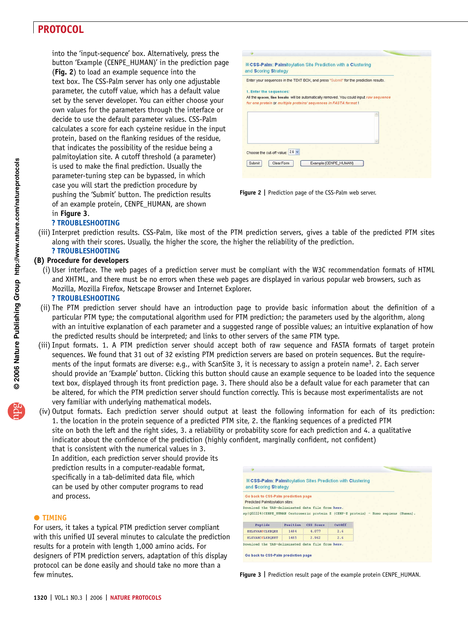# **PROTOCOL**

into the 'input-sequence' box. Alternatively, press the button 'Example (CENPE\_HUMAN)' in the prediction page (Fig. 2) to load an example sequence into the text box. The CSS-Palm server has only one adjustable parameter, the cutoff value, which has a default value set by the server developer. You can either choose your own values for the parameters through the interface or decide to use the default parameter values. CSS-Palm calculates a score for each cysteine residue in the input protein, based on the flanking residues of the residue, that indicates the possibility of the residue being a palmitoylation site. A cutoff threshold (a parameter) is used to make the final prediction. Usually the parameter-tuning step can be bypassed, in which case you will start the prediction procedure by pushing the 'Submit' button. The prediction results of an example protein, CENPE\_HUMAN, are shown in Figure 3.

| and Scoring Strategy<br>Enter your sequences in the TEXT BOX, and press "Submit" for the prediction results.                                               |  |
|------------------------------------------------------------------------------------------------------------------------------------------------------------|--|
| 1. Enter the sequences:                                                                                                                                    |  |
| All the spaces, line breaks will be automatically removed. You could input raw sequence<br>for one protein or multiple proteins' sequences in FASTA format |  |
|                                                                                                                                                            |  |
|                                                                                                                                                            |  |
|                                                                                                                                                            |  |
|                                                                                                                                                            |  |
|                                                                                                                                                            |  |
|                                                                                                                                                            |  |
| Choose the cut-off value: 2.6<br>Example (CENPE_HUMAN)<br>Clear Form<br>Submit                                                                             |  |

Figure 2 | Prediction page of the CSS-Palm web server.

## ? TROUBLESHOOTING

(iii) Interpret prediction results. CSS-Palm, like most of the PTM prediction servers, gives a table of the predicted PTM sites along with their scores. Usually, the higher the score, the higher the reliability of the prediction.

## ? TROUBLESHOOTING

#### (B) Procedure for developers

(i) User interface. The web pages of a prediction server must be compliant with the W3C recommendation formats of HTML and XHTML, and there must be no errors when these web pages are displayed in various popular web browsers, such as Mozilla, Mozilla Firefox, Netscape Browser and Internet Explorer.

## ? TROUBLESHOOTING

- (ii) The PTM prediction server should have an introduction page to provide basic information about the definition of a particular PTM type; the computational algorithm used for PTM prediction; the parameters used by the algorithm, along with an intuitive explanation of each parameter and a suggested range of possible values; an intuitive explanation of how the predicted results should be interpreted; and links to other servers of the same PTM type.
- (iii) Input formats. 1. A PTM prediction server should accept both of raw sequence and FASTA formats of target protein sequences. We found that 31 out of 32 existing PTM prediction servers are based on protein sequences. But the requirements of the input formats are diverse: e.g., with ScanSite 3, it is necessary to assign a protein name<sup>3</sup>. 2. Each server should provide an 'Example' button. Clicking this button should cause an example sequence to be loaded into the sequence text box, displayed through its front prediction page. 3. There should also be a default value for each parameter that can be altered, for which the PTM prediction server should function correctly. This is because most experimentalists are not very familiar with underlying mathematical models.
- (iv) Output formats. Each prediction server should output at least the following information for each of its prediction: 1. the location in the protein sequence of a predicted PTM site, 2. the flanking sequences of a predicted PTM site on both the left and the right sides, 3. a reliability or probability score for each prediction and 4. a qualitative indicator about the confidence of the prediction (highly confident, marginally confident, not confident)

that is consistent with the numerical values in 3. In addition, each prediction server should provide its prediction results in a computer-readable format, specifically in a tab-delimited data file, which can be used by other computer programs to read and process.

#### **• TIMING**

For users, it takes a typical PTM prediction server compliant with this unified UI several minutes to calculate the prediction results for a protein with length 1,000 amino acids. For designers of PTM prediction servers, adaptation of this display protocol can be done easily and should take no more than a few minutes.

| <b>EXCSS-Palm: Palmitoylation Sites Prediction with Clustering</b><br>and Scoring Strategy                                                                                       |          |           |        |  |  |
|----------------------------------------------------------------------------------------------------------------------------------------------------------------------------------|----------|-----------|--------|--|--|
| Go back to CSS-Palm prediction page                                                                                                                                              |          |           |        |  |  |
| Predicted Palmitoviation sites:<br>Download the TAB-deliminated data file from here.<br>sp   Q02224   CENPE HUMAN Centromeric protein E (CENP-E protein) - Homo sapiens (Human). |          |           |        |  |  |
| Peptide                                                                                                                                                                          | Position | CSS Score | CutOff |  |  |
| <b>EELKVAHCCLKEQEE</b>                                                                                                                                                           | 1484     | 4.077     | 2.6    |  |  |

**Figure 3** | Prediction result page of the example protein CENPE\_HUMAN.